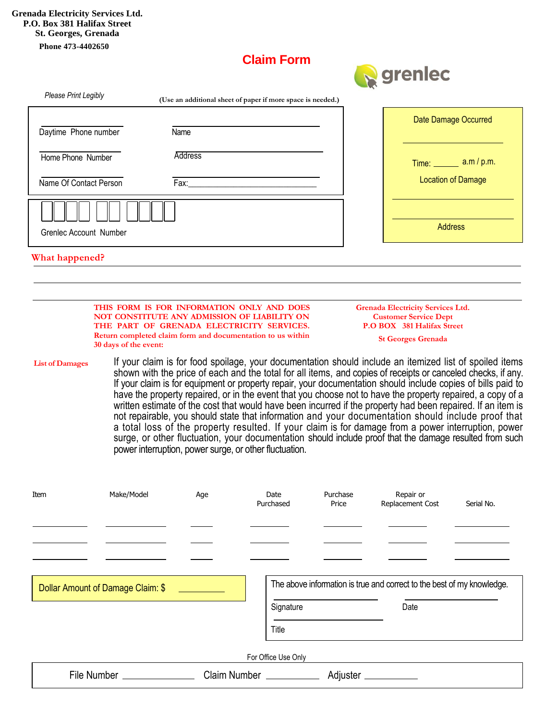## **Claim Form**



|                        |                                                                                                                                                                                                                                                                                                                                                                                                                                                                                                                                                                                                                                                                                                                                                                                                                                                                                                                                                        |                |                                                             |                                                                          | and a                         |                           |  |
|------------------------|--------------------------------------------------------------------------------------------------------------------------------------------------------------------------------------------------------------------------------------------------------------------------------------------------------------------------------------------------------------------------------------------------------------------------------------------------------------------------------------------------------------------------------------------------------------------------------------------------------------------------------------------------------------------------------------------------------------------------------------------------------------------------------------------------------------------------------------------------------------------------------------------------------------------------------------------------------|----------------|-------------------------------------------------------------|--------------------------------------------------------------------------|-------------------------------|---------------------------|--|
| Please Print Legibly   |                                                                                                                                                                                                                                                                                                                                                                                                                                                                                                                                                                                                                                                                                                                                                                                                                                                                                                                                                        |                | (Use an additional sheet of paper if more space is needed.) |                                                                          |                               |                           |  |
| Daytime Phone number   |                                                                                                                                                                                                                                                                                                                                                                                                                                                                                                                                                                                                                                                                                                                                                                                                                                                                                                                                                        | Name           |                                                             |                                                                          |                               | Date Damage Occurred      |  |
| Home Phone Number      |                                                                                                                                                                                                                                                                                                                                                                                                                                                                                                                                                                                                                                                                                                                                                                                                                                                                                                                                                        | <b>Address</b> |                                                             |                                                                          | Time: No. 1997                | a.m / p.m.                |  |
| Name Of Contact Person |                                                                                                                                                                                                                                                                                                                                                                                                                                                                                                                                                                                                                                                                                                                                                                                                                                                                                                                                                        | Fax:           |                                                             |                                                                          |                               | <b>Location of Damage</b> |  |
|                        |                                                                                                                                                                                                                                                                                                                                                                                                                                                                                                                                                                                                                                                                                                                                                                                                                                                                                                                                                        |                |                                                             |                                                                          | <b>Address</b>                |                           |  |
| Grenlec Account Number |                                                                                                                                                                                                                                                                                                                                                                                                                                                                                                                                                                                                                                                                                                                                                                                                                                                                                                                                                        |                |                                                             |                                                                          |                               |                           |  |
| What happened?         |                                                                                                                                                                                                                                                                                                                                                                                                                                                                                                                                                                                                                                                                                                                                                                                                                                                                                                                                                        |                |                                                             |                                                                          |                               |                           |  |
|                        | THIS FORM IS FOR INFORMATION ONLY AND DOES<br>NOT CONSTITUTE ANY ADMISSION OF LIABILITY ON                                                                                                                                                                                                                                                                                                                                                                                                                                                                                                                                                                                                                                                                                                                                                                                                                                                             |                |                                                             | <b>Grenada Electricity Services Ltd.</b><br><b>Customer Service Dept</b> |                               |                           |  |
|                        | THE PART OF GRENADA ELECTRICITY SERVICES.<br>Return completed claim form and documentation to us within<br>30 days of the event:                                                                                                                                                                                                                                                                                                                                                                                                                                                                                                                                                                                                                                                                                                                                                                                                                       |                |                                                             | P.O BOX 381 Halifax Street<br><b>St Georges Grenada</b>                  |                               |                           |  |
| <b>List of Damages</b> | If your claim is for food spoilage, your documentation should include an itemized list of spoiled items<br>shown with the price of each and the total for all items, and copies of receipts or canceled checks, if any.<br>If your claim is for equipment or property repair, your documentation should include copies of bills paid to<br>have the property repaired, or in the event that you choose not to have the property repaired, a copy of a<br>written estimate of the cost that would have been incurred if the property had been repaired. If an item is<br>not repairable, you should state that information and your documentation should include proof that<br>a total loss of the property resulted. If your claim is for damage from a power interruption, power<br>surge, or other fluctuation, your documentation should include proof that the damage resulted from such<br>power interruption, power surge, or other fluctuation. |                |                                                             |                                                                          |                               |                           |  |
| Item                   | Make/Model                                                                                                                                                                                                                                                                                                                                                                                                                                                                                                                                                                                                                                                                                                                                                                                                                                                                                                                                             | Age            | Date<br>Purchased                                           | Purchase<br>Price                                                        | Repair or<br>Replacement Cost | Serial No.                |  |
|                        |                                                                                                                                                                                                                                                                                                                                                                                                                                                                                                                                                                                                                                                                                                                                                                                                                                                                                                                                                        |                |                                                             |                                                                          |                               |                           |  |

Dollar Amount of Damage Claim: \$ The above information is true and correct to the best of my knowledge.

Signature Date

For Office Use Only File Number Claim Number Adjuster

Title